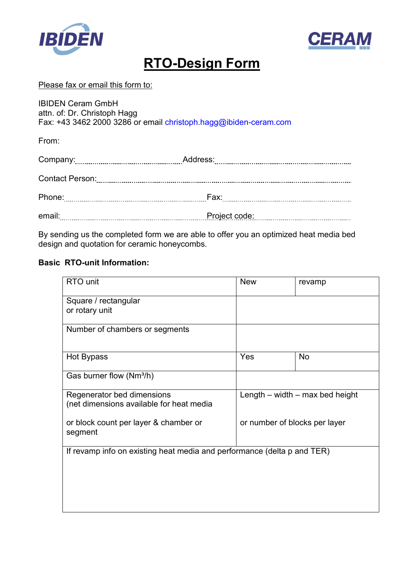



# **RTO-Design Form**

#### Please fax or email this form to:

IBIDEN Ceram GmbH attn. of: Dr. Christoph Hagg

Fax: +43 3462 2000 3286 or email christoph.hagg@ibiden-ceram.com

From:

|                        | Address:      |
|------------------------|---------------|
| <b>Contact Person:</b> |               |
| Phone:                 | Fax:          |
| email:                 | Project code: |

By sending us the completed form we are able to offer you an optimized heat media bed design and quotation for ceramic honeycombs.

### **Basic RTO-unit Information:**

| RTO unit                                                                | <b>New</b>                    | revamp                              |
|-------------------------------------------------------------------------|-------------------------------|-------------------------------------|
| Square / rectangular                                                    |                               |                                     |
| or rotary unit                                                          |                               |                                     |
| Number of chambers or segments                                          |                               |                                     |
| Hot Bypass                                                              | Yes                           | <b>No</b>                           |
| Gas burner flow (Nm <sup>3</sup> /h)                                    |                               |                                     |
| Regenerator bed dimensions                                              |                               | Length $-$ width $-$ max bed height |
| (net dimensions available for heat media                                |                               |                                     |
| or block count per layer & chamber or<br>segment                        | or number of blocks per layer |                                     |
| If revamp info on existing heat media and performance (delta p and TER) |                               |                                     |
|                                                                         |                               |                                     |
|                                                                         |                               |                                     |
|                                                                         |                               |                                     |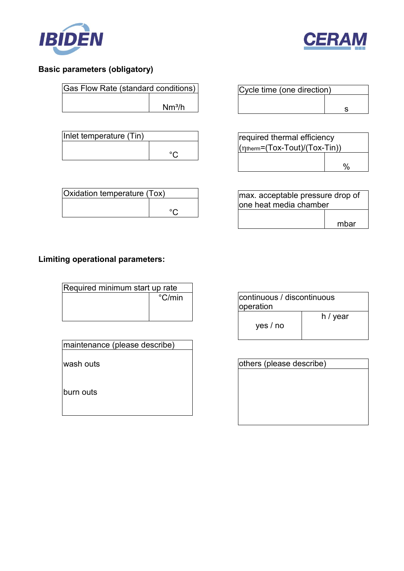



## **Basic parameters (obligatory)**

| Gas Flow Rate (standard conditions) |                    |
|-------------------------------------|--------------------|
|                                     | Nm <sup>3</sup> /h |
|                                     |                    |

| Inlet temperature (Tin) |  |
|-------------------------|--|
|                         |  |
|                         |  |

| Oxidation temperature (Tox) |  |
|-----------------------------|--|
|                             |  |

| Cycle time (one direction) |  |
|----------------------------|--|
|                            |  |
|                            |  |

| required thermal efficiency                    |  |
|------------------------------------------------|--|
| $(\eta_{\text{therm}} = (Tox-Tout)/(Tox-Tin))$ |  |
|                                                |  |
|                                                |  |

| max. acceptable pressure drop of |      |
|----------------------------------|------|
| lone heat media chamber          |      |
|                                  |      |
|                                  | mbar |

# **Limiting operational parameters:**

| Required minimum start up rate |                 |
|--------------------------------|-----------------|
|                                | $\degree$ C/min |
|                                |                 |
|                                |                 |

| maintenance (please describe) |  |
|-------------------------------|--|
|-------------------------------|--|

wash outs

burn outs

| continuous / discontinuous<br>operation |          |
|-----------------------------------------|----------|
| yes / no                                | h / year |

| others (please describe) |  |
|--------------------------|--|
|                          |  |
|                          |  |
|                          |  |
|                          |  |
|                          |  |